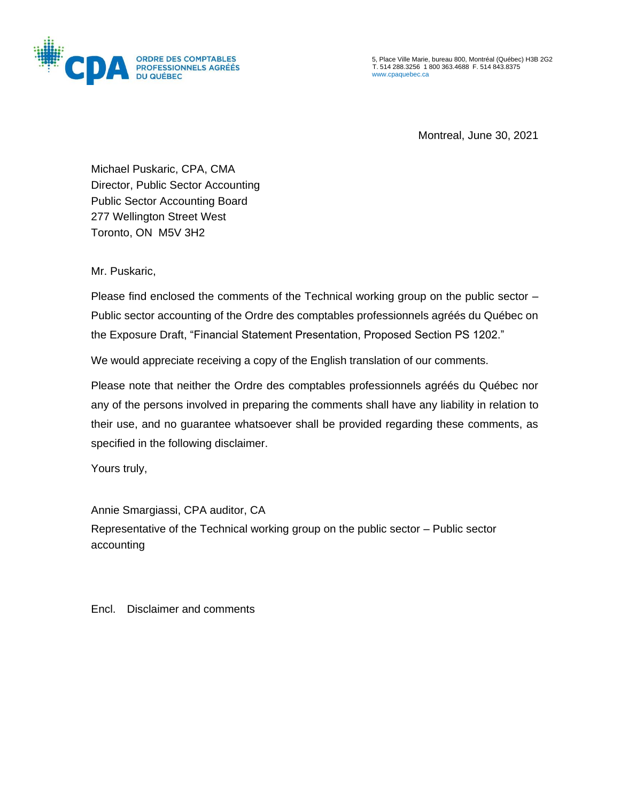

5, Place Ville Marie, bureau 800, Montréal (Québec) H3B 2G2 T. 514 288.3256 1 800 363.4688 F. 514 843.8375 [www.cpaquebec.ca](http://www.cpaquebec.ca/)

Montreal, June 30, 2021

Michael Puskaric, CPA, CMA Director, Public Sector Accounting Public Sector Accounting Board 277 Wellington Street West Toronto, ON M5V 3H2

Mr. Puskaric,

Please find enclosed the comments of the Technical working group on the public sector – Public sector accounting of the Ordre des comptables professionnels agréés du Québec on the Exposure Draft, "Financial Statement Presentation, Proposed Section PS 1202."

We would appreciate receiving a copy of the English translation of our comments.

Please note that neither the Ordre des comptables professionnels agréés du Québec nor any of the persons involved in preparing the comments shall have any liability in relation to their use, and no guarantee whatsoever shall be provided regarding these comments, as specified in the following disclaimer.

Yours truly,

Annie Smargiassi, CPA auditor, CA Representative of the Technical working group on the public sector – Public sector accounting

Encl. Disclaimer and comments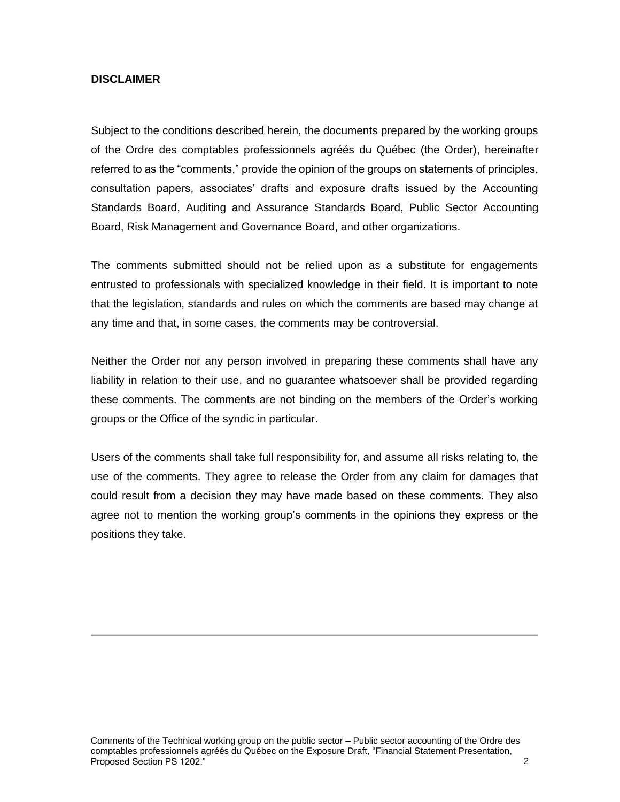#### **DISCLAIMER**

Subject to the conditions described herein, the documents prepared by the working groups of the Ordre des comptables professionnels agréés du Québec (the Order), hereinafter referred to as the "comments," provide the opinion of the groups on statements of principles, consultation papers, associates' drafts and exposure drafts issued by the Accounting Standards Board, Auditing and Assurance Standards Board, Public Sector Accounting Board, Risk Management and Governance Board, and other organizations.

The comments submitted should not be relied upon as a substitute for engagements entrusted to professionals with specialized knowledge in their field. It is important to note that the legislation, standards and rules on which the comments are based may change at any time and that, in some cases, the comments may be controversial.

Neither the Order nor any person involved in preparing these comments shall have any liability in relation to their use, and no guarantee whatsoever shall be provided regarding these comments. The comments are not binding on the members of the Order's working groups or the Office of the syndic in particular.

Users of the comments shall take full responsibility for, and assume all risks relating to, the use of the comments. They agree to release the Order from any claim for damages that could result from a decision they may have made based on these comments. They also agree not to mention the working group's comments in the opinions they express or the positions they take.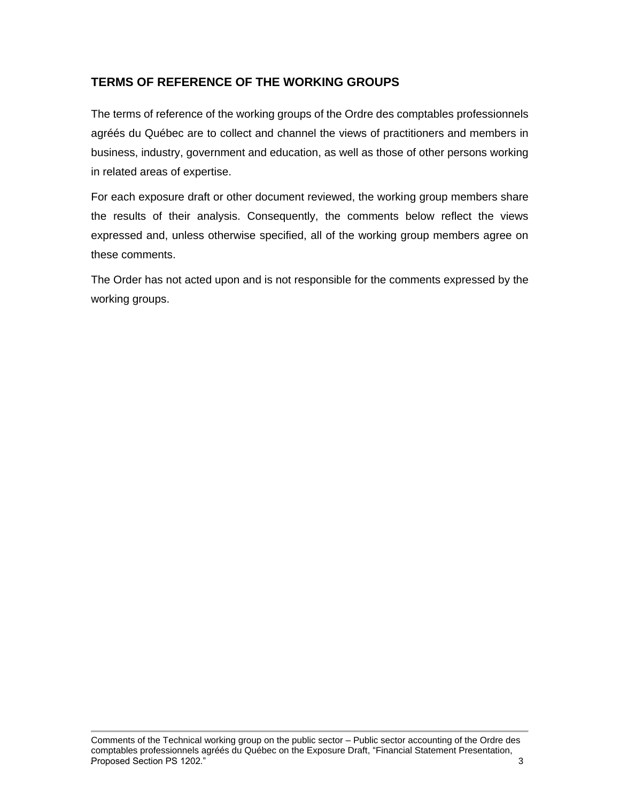# **TERMS OF REFERENCE OF THE WORKING GROUPS**

The terms of reference of the working groups of the Ordre des comptables professionnels agréés du Québec are to collect and channel the views of practitioners and members in business, industry, government and education, as well as those of other persons working in related areas of expertise.

For each exposure draft or other document reviewed, the working group members share the results of their analysis. Consequently, the comments below reflect the views expressed and, unless otherwise specified, all of the working group members agree on these comments.

The Order has not acted upon and is not responsible for the comments expressed by the working groups.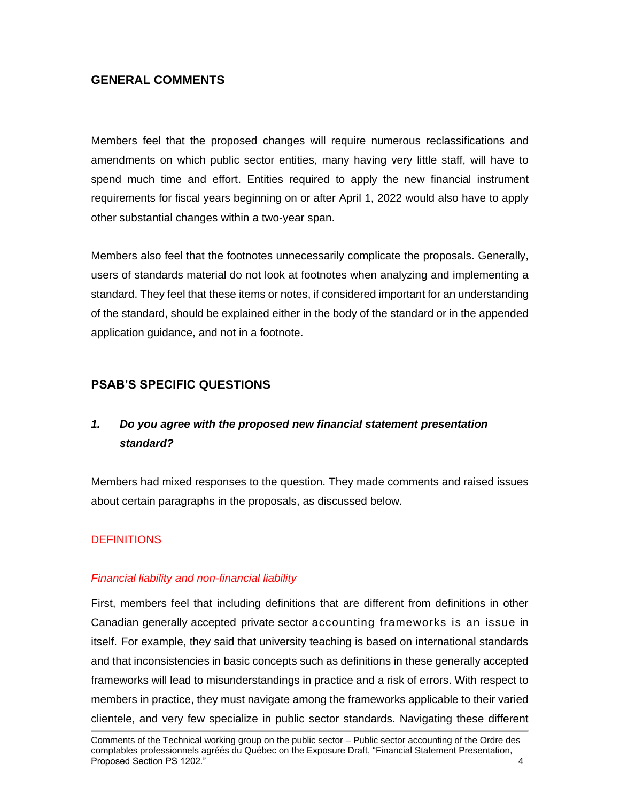# **GENERAL COMMENTS**

Members feel that the proposed changes will require numerous reclassifications and amendments on which public sector entities, many having very little staff, will have to spend much time and effort. Entities required to apply the new financial instrument requirements for fiscal years beginning on or after April 1, 2022 would also have to apply other substantial changes within a two-year span.

Members also feel that the footnotes unnecessarily complicate the proposals. Generally, users of standards material do not look at footnotes when analyzing and implementing a standard. They feel that these items or notes, if considered important for an understanding of the standard, should be explained either in the body of the standard or in the appended application guidance, and not in a footnote.

# **PSAB'S SPECIFIC QUESTIONS**

# *1. Do you agree with the proposed new financial statement presentation standard?*

Members had mixed responses to the question. They made comments and raised issues about certain paragraphs in the proposals, as discussed below.

## **DEFINITIONS**

## *Financial liability and non-financial liability*

First, members feel that including definitions that are different from definitions in other Canadian generally accepted private sector accounting frameworks is an issue in itself. For example, they said that university teaching is based on international standards and that inconsistencies in basic concepts such as definitions in these generally accepted frameworks will lead to misunderstandings in practice and a risk of errors. With respect to members in practice, they must navigate among the frameworks applicable to their varied clientele, and very few specialize in public sector standards. Navigating these different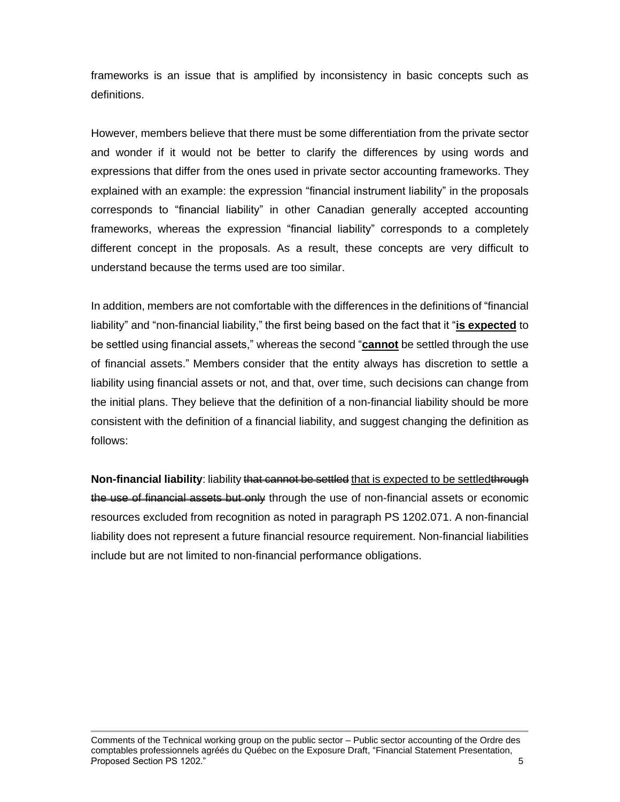frameworks is an issue that is amplified by inconsistency in basic concepts such as definitions.

However, members believe that there must be some differentiation from the private sector and wonder if it would not be better to clarify the differences by using words and expressions that differ from the ones used in private sector accounting frameworks. They explained with an example: the expression "financial instrument liability" in the proposals corresponds to "financial liability" in other Canadian generally accepted accounting frameworks, whereas the expression "financial liability" corresponds to a completely different concept in the proposals. As a result, these concepts are very difficult to understand because the terms used are too similar.

In addition, members are not comfortable with the differences in the definitions of "financial liability" and "non-financial liability," the first being based on the fact that it "**is expected** to be settled using financial assets," whereas the second "**cannot** be settled through the use of financial assets." Members consider that the entity always has discretion to settle a liability using financial assets or not, and that, over time, such decisions can change from the initial plans. They believe that the definition of a non-financial liability should be more consistent with the definition of a financial liability, and suggest changing the definition as follows:

Non-financial liability: liability that cannot be settled that is expected to be settledthrough the use of financial assets but only through the use of non-financial assets or economic resources excluded from recognition as noted in paragraph PS 1202.071. A non-financial liability does not represent a future financial resource requirement. Non-financial liabilities include but are not limited to non-financial performance obligations.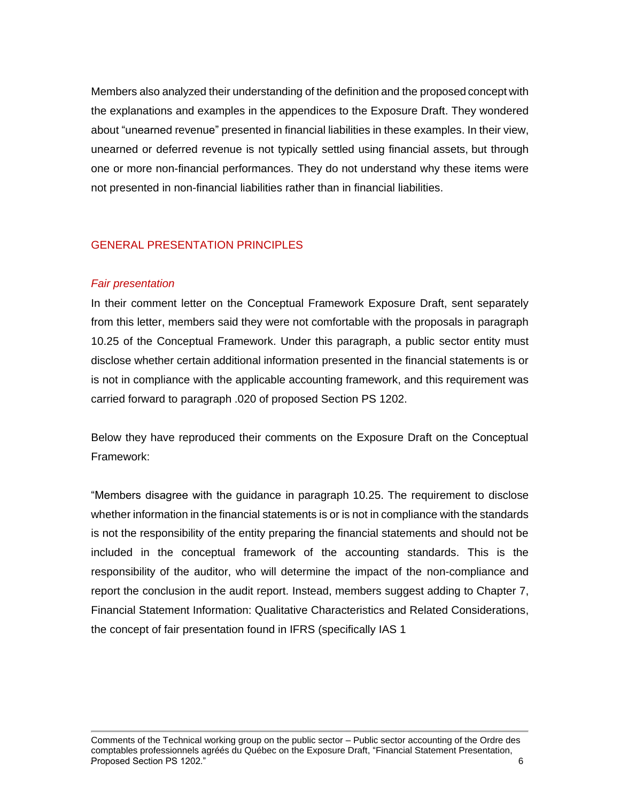Members also analyzed their understanding of the definition and the proposed concept with the explanations and examples in the appendices to the Exposure Draft. They wondered about "unearned revenue" presented in financial liabilities in these examples. In their view, unearned or deferred revenue is not typically settled using financial assets, but through one or more non-financial performances. They do not understand why these items were not presented in non-financial liabilities rather than in financial liabilities.

## GENERAL PRESENTATION PRINCIPLES

#### *Fair presentation*

In their comment letter on the Conceptual Framework Exposure Draft, sent separately from this letter, members said they were not comfortable with the proposals in paragraph 10.25 of the Conceptual Framework. Under this paragraph, a public sector entity must disclose whether certain additional information presented in the financial statements is or is not in compliance with the applicable accounting framework, and this requirement was carried forward to paragraph .020 of proposed Section PS 1202.

Below they have reproduced their comments on the Exposure Draft on the Conceptual Framework:

"Members disagree with the guidance in paragraph 10.25. The requirement to disclose whether information in the financial statements is or is not in compliance with the standards is not the responsibility of the entity preparing the financial statements and should not be included in the conceptual framework of the accounting standards. This is the responsibility of the auditor, who will determine the impact of the non-compliance and report the conclusion in the audit report. Instead, members suggest adding to Chapter 7, Financial Statement Information: Qualitative Characteristics and Related Considerations, the concept of fair presentation found in IFRS (specifically IAS 1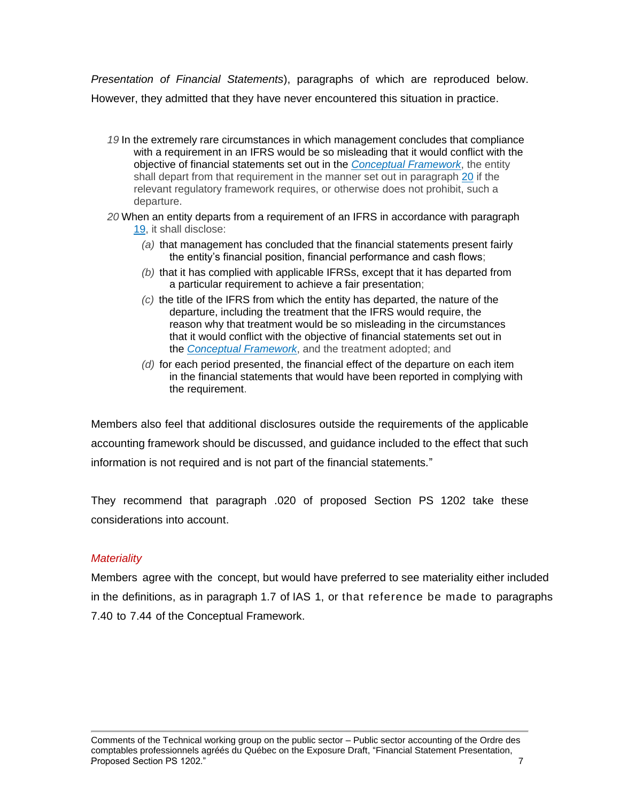*Presentation of Financial Statements*), paragraphs of which are reproduced below. However, they admitted that they have never encountered this situation in practice.

- *19* In the extremely rare circumstances in which management concludes that compliance with a requirement in an IFRS would be so misleading that it would conflict with the objective of financial statements set out in the *[Conceptual](https://www.knotia.ca/knowledge/Home.aspx?productid=127) Framework*, the entity shall depart from that requirement in the manner set out in paragraph [20](https://www.knotia.ca/knowledge/Home.aspx?productid=127) if the relevant regulatory framework requires, or otherwise does not prohibit, such a departure.
- *20* When an entity departs from a requirement of an IFRS in accordance with paragraph [19,](https://www.knotia.ca/knowledge/Home.aspx?productid=127) it shall disclose:
	- *(a)* that management has concluded that the financial statements present fairly the entity's financial position, financial performance and cash flows;
	- *(b)* that it has complied with applicable IFRSs, except that it has departed from a particular requirement to achieve a fair presentation;
	- *(c)* the title of the IFRS from which the entity has departed, the nature of the departure, including the treatment that the IFRS would require, the reason why that treatment would be so misleading in the circumstances that it would conflict with the objective of financial statements set out in the *[Conceptual](https://www.knotia.ca/knowledge/Home.aspx?productid=127) Framework*, and the treatment adopted; and
	- *(d)* for each period presented, the financial effect of the departure on each item in the financial statements that would have been reported in complying with the requirement.

Members also feel that additional disclosures outside the requirements of the applicable accounting framework should be discussed, and guidance included to the effect that such information is not required and is not part of the financial statements*.*"

They recommend that paragraph .020 of proposed Section PS 1202 take these considerations into account.

## *Materiality*

Members agree with the concept, but would have preferred to see materiality either included in the definitions, as in paragraph 1.7 of IAS 1, or that reference be made to paragraphs 7.40 to 7.44 of the Conceptual Framework.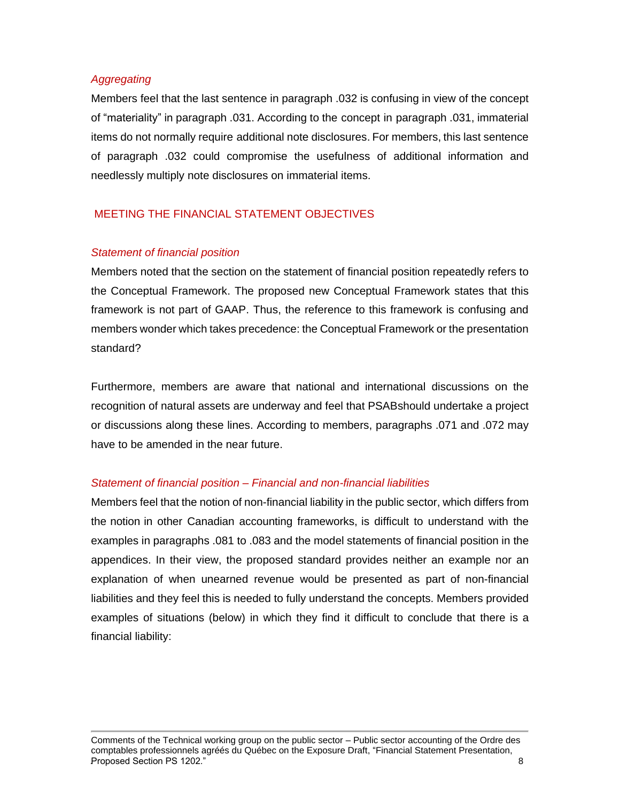#### *Aggregating*

Members feel that the last sentence in paragraph .032 is confusing in view of the concept of "materiality" in paragraph .031. According to the concept in paragraph .031, immaterial items do not normally require additional note disclosures. For members, this last sentence of paragraph .032 could compromise the usefulness of additional information and needlessly multiply note disclosures on immaterial items.

# MEETING THE FINANCIAL STATEMENT OBJECTIVES

## *Statement of financial position*

Members noted that the section on the statement of financial position repeatedly refers to the Conceptual Framework. The proposed new Conceptual Framework states that this framework is not part of GAAP. Thus, the reference to this framework is confusing and members wonder which takes precedence: the Conceptual Framework or the presentation standard?

Furthermore, members are aware that national and international discussions on the recognition of natural assets are underway and feel that PSABshould undertake a project or discussions along these lines. According to members, paragraphs .071 and .072 may have to be amended in the near future.

#### *Statement of financial position – Financial and non-financial liabilities*

Members feel that the notion of non-financial liability in the public sector, which differs from the notion in other Canadian accounting frameworks, is difficult to understand with the examples in paragraphs .081 to .083 and the model statements of financial position in the appendices. In their view, the proposed standard provides neither an example nor an explanation of when unearned revenue would be presented as part of non-financial liabilities and they feel this is needed to fully understand the concepts. Members provided examples of situations (below) in which they find it difficult to conclude that there is a financial liability:

Comments of the Technical working group on the public sector – Public sector accounting of the Ordre des comptables professionnels agréés du Québec on the Exposure Draft, "Financial Statement Presentation, .Proposed Section PS 1202." 8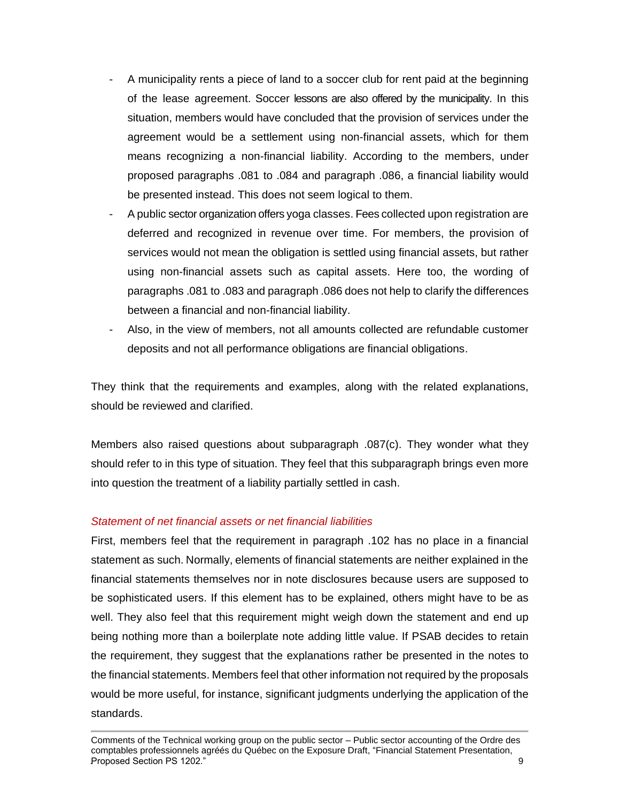- A municipality rents a piece of land to a soccer club for rent paid at the beginning of the lease agreement. Soccer lessons are also offered by the municipality. In this situation, members would have concluded that the provision of services under the agreement would be a settlement using non-financial assets, which for them means recognizing a non-financial liability. According to the members, under proposed paragraphs .081 to .084 and paragraph .086, a financial liability would be presented instead. This does not seem logical to them.
- A public sector organization offers yoga classes. Fees collected upon registration are deferred and recognized in revenue over time. For members, the provision of services would not mean the obligation is settled using financial assets, but rather using non-financial assets such as capital assets. Here too, the wording of paragraphs .081 to .083 and paragraph .086 does not help to clarify the differences between a financial and non-financial liability.
- Also, in the view of members, not all amounts collected are refundable customer deposits and not all performance obligations are financial obligations.

They think that the requirements and examples, along with the related explanations, should be reviewed and clarified.

Members also raised questions about subparagraph .087(c). They wonder what they should refer to in this type of situation. They feel that this subparagraph brings even more into question the treatment of a liability partially settled in cash.

## *Statement of net financial assets or net financial liabilities*

First, members feel that the requirement in paragraph .102 has no place in a financial statement as such. Normally, elements of financial statements are neither explained in the financial statements themselves nor in note disclosures because users are supposed to be sophisticated users. If this element has to be explained, others might have to be as well. They also feel that this requirement might weigh down the statement and end up being nothing more than a boilerplate note adding little value. If PSAB decides to retain the requirement, they suggest that the explanations rather be presented in the notes to the financial statements. Members feel that other information not required by the proposals would be more useful, for instance, significant judgments underlying the application of the standards.

Comments of the Technical working group on the public sector – Public sector accounting of the Ordre des comptables professionnels agréés du Québec on the Exposure Draft, "Financial Statement Presentation, .Proposed Section PS 1202." 9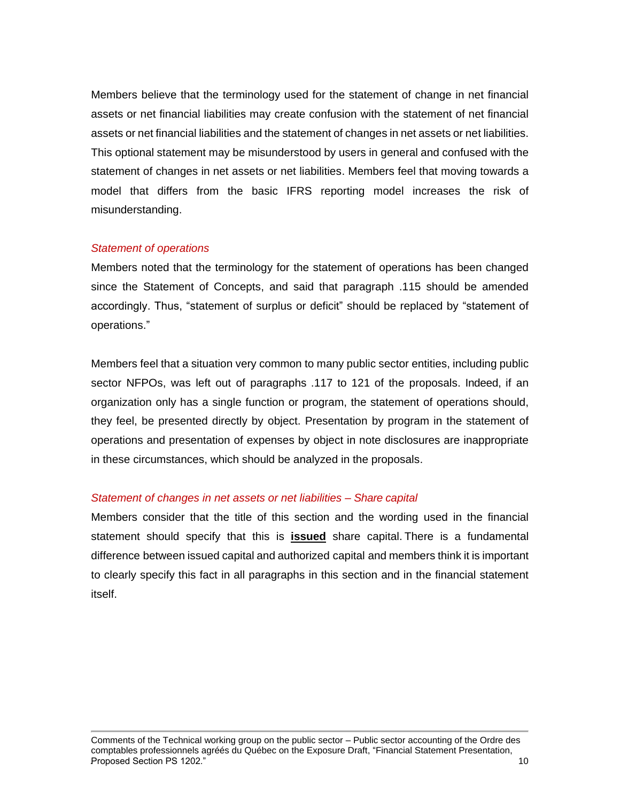Members believe that the terminology used for the statement of change in net financial assets or net financial liabilities may create confusion with the statement of net financial assets or net financial liabilities and the statement of changes in net assets or net liabilities. This optional statement may be misunderstood by users in general and confused with the statement of changes in net assets or net liabilities. Members feel that moving towards a model that differs from the basic IFRS reporting model increases the risk of misunderstanding.

#### *Statement of operations*

Members noted that the terminology for the statement of operations has been changed since the Statement of Concepts, and said that paragraph .115 should be amended accordingly. Thus, "statement of surplus or deficit" should be replaced by "statement of operations."

Members feel that a situation very common to many public sector entities, including public sector NFPOs, was left out of paragraphs .117 to 121 of the proposals. Indeed, if an organization only has a single function or program, the statement of operations should, they feel, be presented directly by object. Presentation by program in the statement of operations and presentation of expenses by object in note disclosures are inappropriate in these circumstances, which should be analyzed in the proposals.

#### *Statement of changes in net assets or net liabilities – Share capital*

Members consider that the title of this section and the wording used in the financial statement should specify that this is **issued** share capital. There is a fundamental difference between issued capital and authorized capital and members think it is important to clearly specify this fact in all paragraphs in this section and in the financial statement itself.

Comments of the Technical working group on the public sector – Public sector accounting of the Ordre des comptables professionnels agréés du Québec on the Exposure Draft, "Financial Statement Presentation, **Proposed Section PS 1202."** 10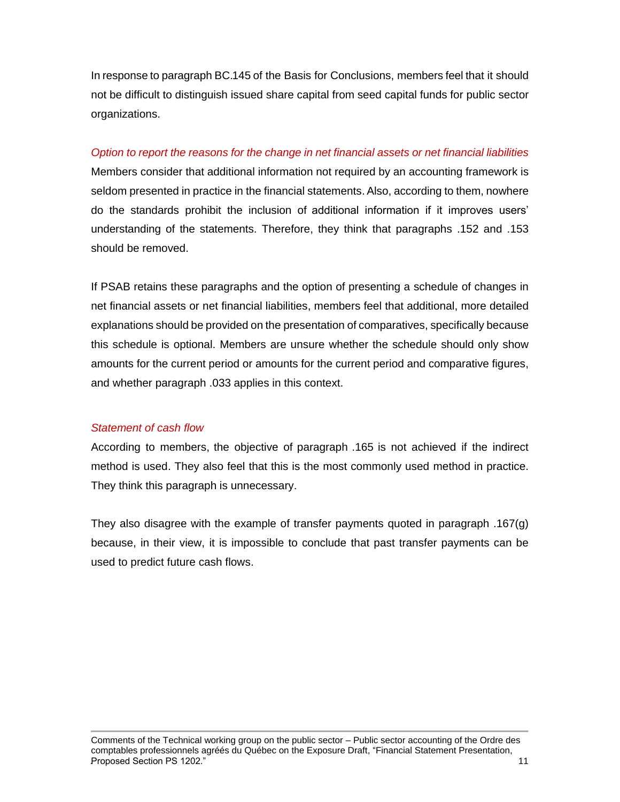In response to paragraph BC.145 of the Basis for Conclusions, members feel that it should not be difficult to distinguish issued share capital from seed capital funds for public sector organizations.

#### *Option to report the reasons for the change in net financial assets or net financial liabilities*

Members consider that additional information not required by an accounting framework is seldom presented in practice in the financial statements. Also, according to them, nowhere do the standards prohibit the inclusion of additional information if it improves users' understanding of the statements. Therefore, they think that paragraphs .152 and .153 should be removed.

If PSAB retains these paragraphs and the option of presenting a schedule of changes in net financial assets or net financial liabilities, members feel that additional, more detailed explanations should be provided on the presentation of comparatives, specifically because this schedule is optional. Members are unsure whether the schedule should only show amounts for the current period or amounts for the current period and comparative figures, and whether paragraph .033 applies in this context.

#### *Statement of cash flow*

According to members, the objective of paragraph .165 is not achieved if the indirect method is used. They also feel that this is the most commonly used method in practice. They think this paragraph is unnecessary.

They also disagree with the example of transfer payments quoted in paragraph .167(g) because, in their view, it is impossible to conclude that past transfer payments can be used to predict future cash flows.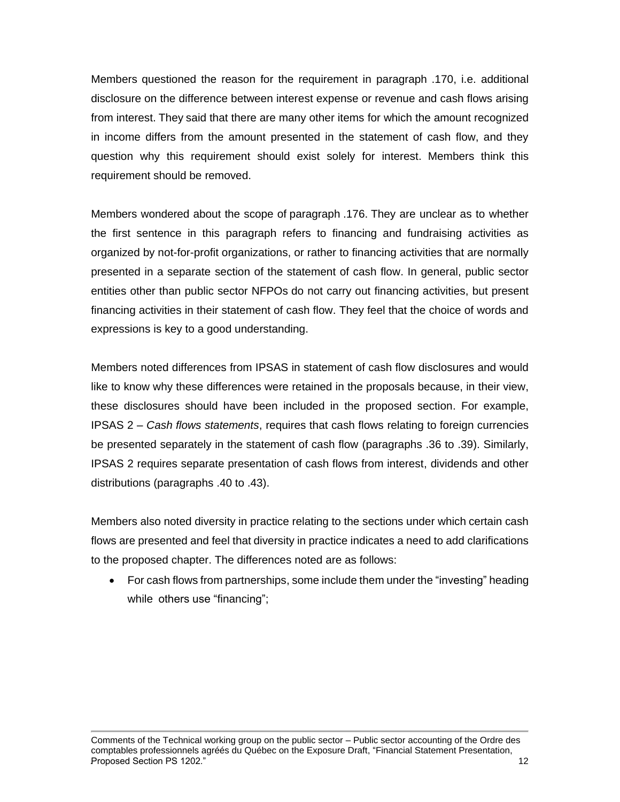Members questioned the reason for the requirement in paragraph .170, i.e. additional disclosure on the difference between interest expense or revenue and cash flows arising from interest. They said that there are many other items for which the amount recognized in income differs from the amount presented in the statement of cash flow, and they question why this requirement should exist solely for interest. Members think this requirement should be removed.

Members wondered about the scope of paragraph .176. They are unclear as to whether the first sentence in this paragraph refers to financing and fundraising activities as organized by not-for-profit organizations, or rather to financing activities that are normally presented in a separate section of the statement of cash flow. In general, public sector entities other than public sector NFPOs do not carry out financing activities, but present financing activities in their statement of cash flow. They feel that the choice of words and expressions is key to a good understanding.

Members noted differences from IPSAS in statement of cash flow disclosures and would like to know why these differences were retained in the proposals because, in their view, these disclosures should have been included in the proposed section. For example, IPSAS 2 – *Cash flows statements*, requires that cash flows relating to foreign currencies be presented separately in the statement of cash flow (paragraphs .36 to .39). Similarly, IPSAS 2 requires separate presentation of cash flows from interest, dividends and other distributions (paragraphs .40 to .43).

Members also noted diversity in practice relating to the sections under which certain cash flows are presented and feel that diversity in practice indicates a need to add clarifications to the proposed chapter. The differences noted are as follows:

• For cash flows from partnerships, some include them under the "investing" heading while others use "financing";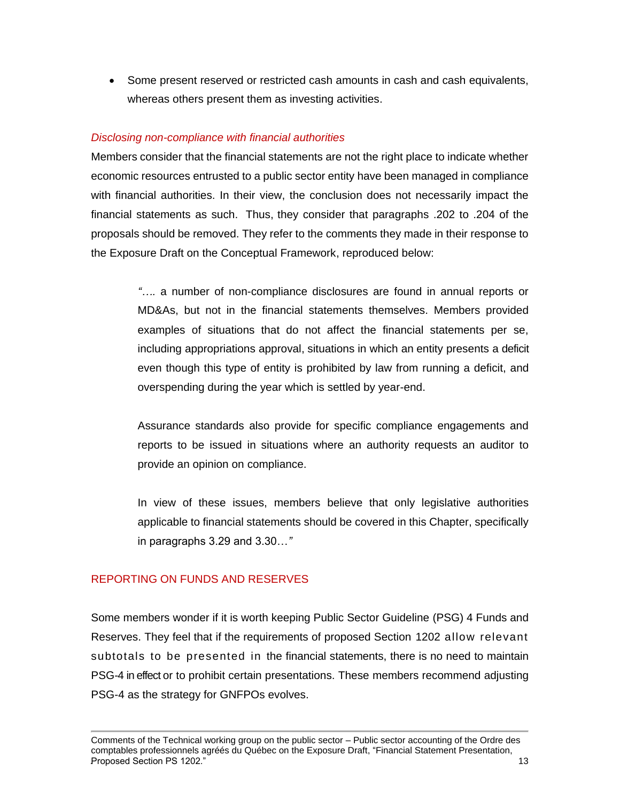• Some present reserved or restricted cash amounts in cash and cash equivalents, whereas others present them as investing activities.

## *Disclosing non-compliance with financial authorities*

Members consider that the financial statements are not the right place to indicate whether economic resources entrusted to a public sector entity have been managed in compliance with financial authorities. In their view, the conclusion does not necessarily impact the financial statements as such. Thus, they consider that paragraphs .202 to .204 of the proposals should be removed. They refer to the comments they made in their response to the Exposure Draft on the Conceptual Framework, reproduced below:

> *"….* a number of non-compliance disclosures are found in annual reports or MD&As, but not in the financial statements themselves. Members provided examples of situations that do not affect the financial statements per se, including appropriations approval, situations in which an entity presents a deficit even though this type of entity is prohibited by law from running a deficit, and overspending during the year which is settled by year-end.

> Assurance standards also provide for specific compliance engagements and reports to be issued in situations where an authority requests an auditor to provide an opinion on compliance.

> In view of these issues, members believe that only legislative authorities applicable to financial statements should be covered in this Chapter, specifically in paragraphs 3.29 and 3.30…*"*

## REPORTING ON FUNDS AND RESERVES

Some members wonder if it is worth keeping Public Sector Guideline (PSG) 4 Funds and Reserves. They feel that if the requirements of proposed Section 1202 allow relevant subtotals to be presented in the financial statements, there is no need to maintain PSG-4 in effect or to prohibit certain presentations. These members recommend adjusting PSG-4 as the strategy for GNFPOs evolves.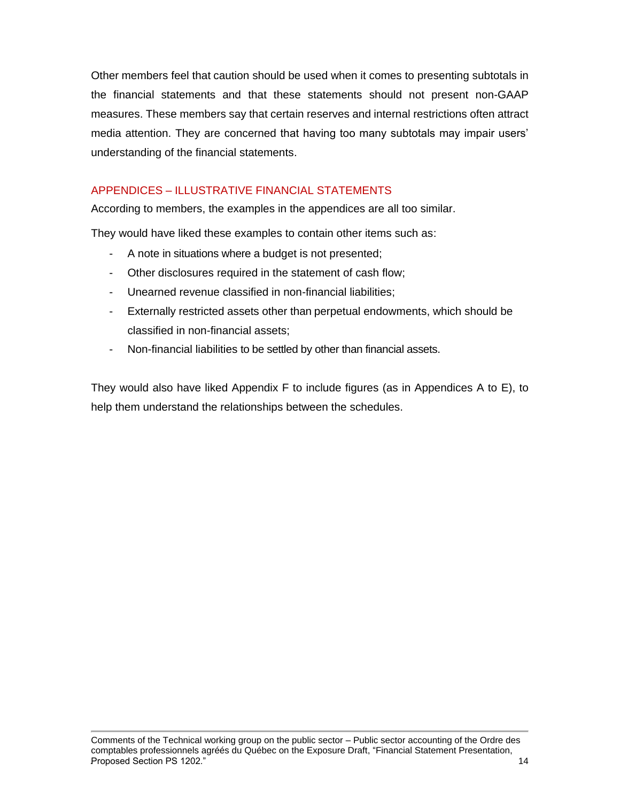Other members feel that caution should be used when it comes to presenting subtotals in the financial statements and that these statements should not present non-GAAP measures. These members say that certain reserves and internal restrictions often attract media attention. They are concerned that having too many subtotals may impair users' understanding of the financial statements.

# APPENDICES – ILLUSTRATIVE FINANCIAL STATEMENTS

According to members, the examples in the appendices are all too similar.

They would have liked these examples to contain other items such as:

- A note in situations where a budget is not presented;
- Other disclosures required in the statement of cash flow;
- Unearned revenue classified in non-financial liabilities;
- Externally restricted assets other than perpetual endowments, which should be classified in non-financial assets;
- Non-financial liabilities to be settled by other than financial assets.

They would also have liked Appendix F to include figures (as in Appendices A to E), to help them understand the relationships between the schedules.

Comments of the Technical working group on the public sector – Public sector accounting of the Ordre des comptables professionnels agréés du Québec on the Exposure Draft, "Financial Statement Presentation, **Proposed Section PS 1202."** 14